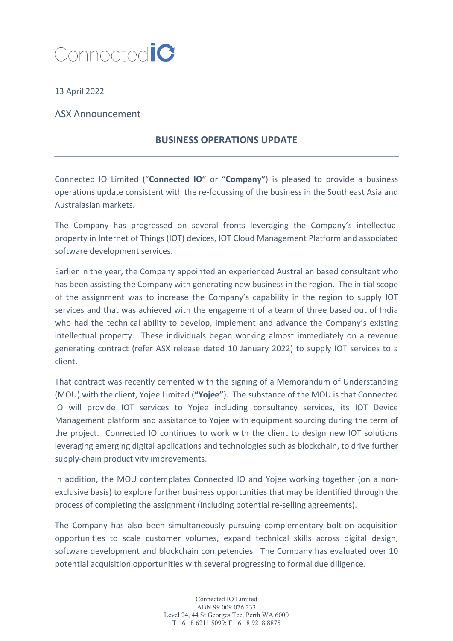

13 April 2022

ASX Announcement

## **BUSINESS OPERATIONS UPDATE**

Connected IO Limited ("**Connected IO"** or "**Company"**) is pleased to provide a business operations update consistent with the re-focussing of the business in the Southeast Asia and Australasian markets.

The Company has progressed on several fronts leveraging the Company's intellectual property in Internet of Things (IOT) devices, IOT Cloud Management Platform and associated software development services.

Earlier in the year, the Company appointed an experienced Australian based consultant who has been assisting the Company with generating new business in the region. The initial scope of the assignment was to increase the Company's capability in the region to supply IOT services and that was achieved with the engagement of a team of three based out of India who had the technical ability to develop, implement and advance the Company's existing intellectual property. These individuals began working almost immediately on a revenue generating contract (refer ASX release dated 10 January 2022) to supply IOT services to a client.

That contract was recently cemented with the signing of a Memorandum of Understanding (MOU) with the client, Yojee Limited (**"Yojee"**). The substance of the MOU is that Connected IO will provide IOT services to Yojee including consultancy services, its IOT Device Management platform and assistance to Yojee with equipment sourcing during the term of the project. Connected IO continues to work with the client to design new IOT solutions leveraging emerging digital applications and technologies such as blockchain, to drive further supply-chain productivity improvements.

In addition, the MOU contemplates Connected IO and Yojee working together (on a nonexclusive basis) to explore further business opportunities that may be identified through the process of completing the assignment (including potential re-selling agreements).

The Company has also been simultaneously pursuing complementary bolt-on acquisition opportunities to scale customer volumes, expand technical skills across digital design, software development and blockchain competencies. The Company has evaluated over 10 potential acquisition opportunities with several progressing to formal due diligence.